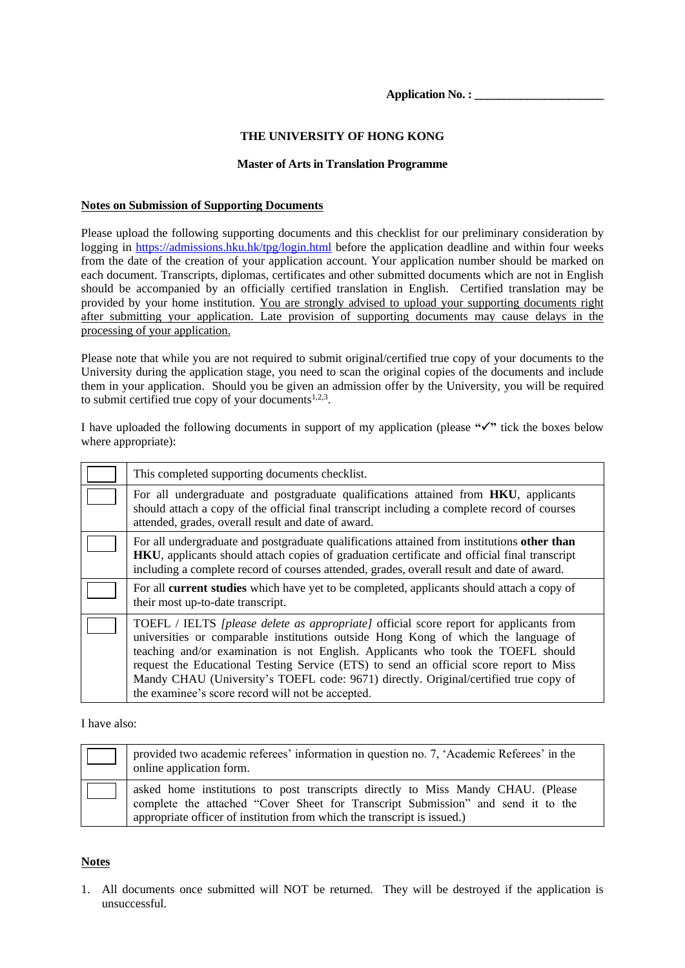**Application No. : \_\_\_\_\_\_\_\_\_\_\_\_\_\_\_\_\_\_\_\_\_\_**

### **THE UNIVERSITY OF HONG KONG**

#### **Master of Arts in Translation Programme**

#### **Notes on Submission of Supporting Documents**

Please upload the following supporting documents and this checklist for our preliminary consideration by logging in [https://admissions.hku.hk/tpg/login.html](https://www.admissions.hku.hk/tpg/login.html) before the application deadline and within four weeks from the date of the creation of your application account. Your application number should be marked on each document. Transcripts, diplomas, certificates and other submitted documents which are not in English should be accompanied by an officially certified translation in English. Certified translation may be provided by your home institution. You are strongly advised to upload your supporting documents right after submitting your application. Late provision of supporting documents may cause delays in the processing of your application.

Please note that while you are not required to submit original/certified true copy of your documents to the University during the application stage, you need to scan the original copies of the documents and include them in your application. Should you be given an admission offer by the University, you will be required to submit certified true copy of your documents $1,2,3$ .

I have uploaded the following documents in support of my application (please **""** tick the boxes below where appropriate):

| This completed supporting documents checklist.                                                                                                                                                                                                                                                                                                                                                                                                                                                                 |
|----------------------------------------------------------------------------------------------------------------------------------------------------------------------------------------------------------------------------------------------------------------------------------------------------------------------------------------------------------------------------------------------------------------------------------------------------------------------------------------------------------------|
| For all undergraduate and postgraduate qualifications attained from HKU, applicants<br>should attach a copy of the official final transcript including a complete record of courses<br>attended, grades, overall result and date of award.                                                                                                                                                                                                                                                                     |
| For all undergraduate and postgraduate qualifications attained from institutions other than<br><b>HKU</b> , applicants should attach copies of graduation certificate and official final transcript<br>including a complete record of courses attended, grades, overall result and date of award.                                                                                                                                                                                                              |
| For all <b>current studies</b> which have yet to be completed, applicants should attach a copy of<br>their most up-to-date transcript.                                                                                                                                                                                                                                                                                                                                                                         |
| TOEFL / IELTS <i>[please delete as appropriate]</i> official score report for applicants from<br>universities or comparable institutions outside Hong Kong of which the language of<br>teaching and/or examination is not English. Applicants who took the TOEFL should<br>request the Educational Testing Service (ETS) to send an official score report to Miss<br>Mandy CHAU (University's TOEFL code: 9671) directly. Original/certified true copy of<br>the examinee's score record will not be accepted. |

I have also:

| provided two academic referees' information in question no. 7, 'Academic Referees' in the<br>online application form.                                                                                                                            |
|--------------------------------------------------------------------------------------------------------------------------------------------------------------------------------------------------------------------------------------------------|
| asked home institutions to post transcripts directly to Miss Mandy CHAU. (Please<br>complete the attached "Cover Sheet for Transcript Submission" and send it to the<br>appropriate officer of institution from which the transcript is issued.) |

### **Notes**

1. All documents once submitted will NOT be returned. They will be destroyed if the application is unsuccessful.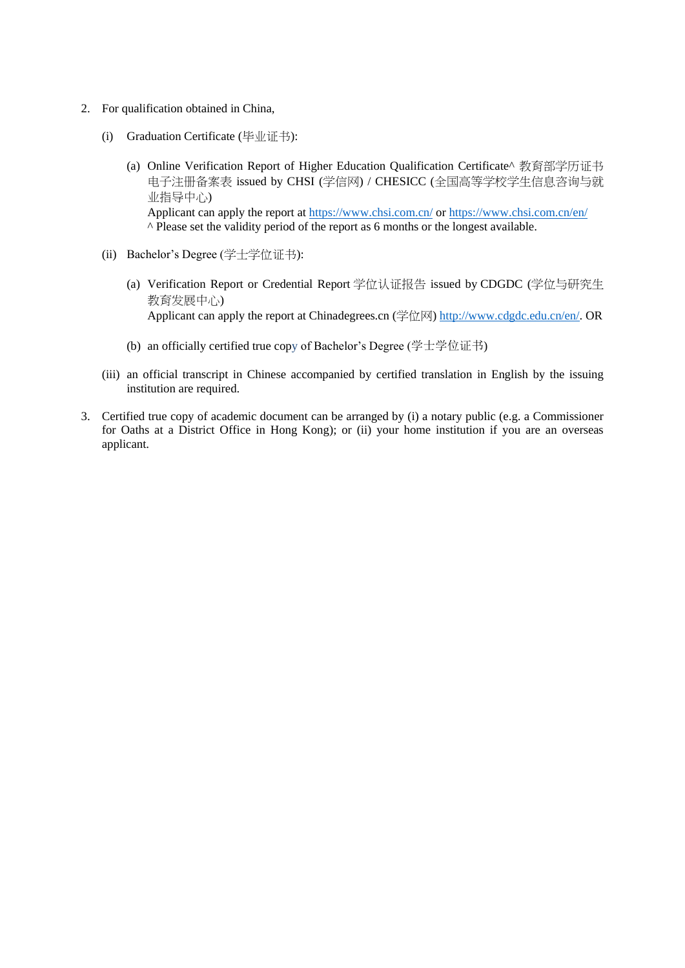- 2. For qualification obtained in China,
	- (i) Graduation Certificate (毕业证书):
		- (a) Online Verification Report of Higher Education Qualification Certificate^ 教育部学历证书 电子注册备案表 issued by CHSI (学信网) / CHESICC (全国高等学校学生信息咨询与就 业指导中心) Applicant can apply the report at <https://www.chsi.com.cn/> or <https://www.chsi.com.cn/en/> ^ Please set the validity period of the report as 6 months or the longest available.
	- (ii) Bachelor's Degree (学士学位证书):
		- (a) Verification Report or Credential Report 学位认证报告 issued by CDGDC (学位与研究生 教育发展中心) Applicant can apply the report at Chinadegrees.cn (学位网) [http://www.cdgdc.edu.cn/en/.](http://www.cdgdc.edu.cn/en/) OR
		- (b) an officially certified true copy of Bachelor's Degree (学士学位证书)
	- (iii) an official transcript in Chinese accompanied by certified translation in English by the issuing institution are required.
- 3. Certified true copy of academic document can be arranged by (i) a notary public (e.g. a Commissioner for Oaths at a District Office in Hong Kong); or (ii) your home institution if you are an overseas applicant.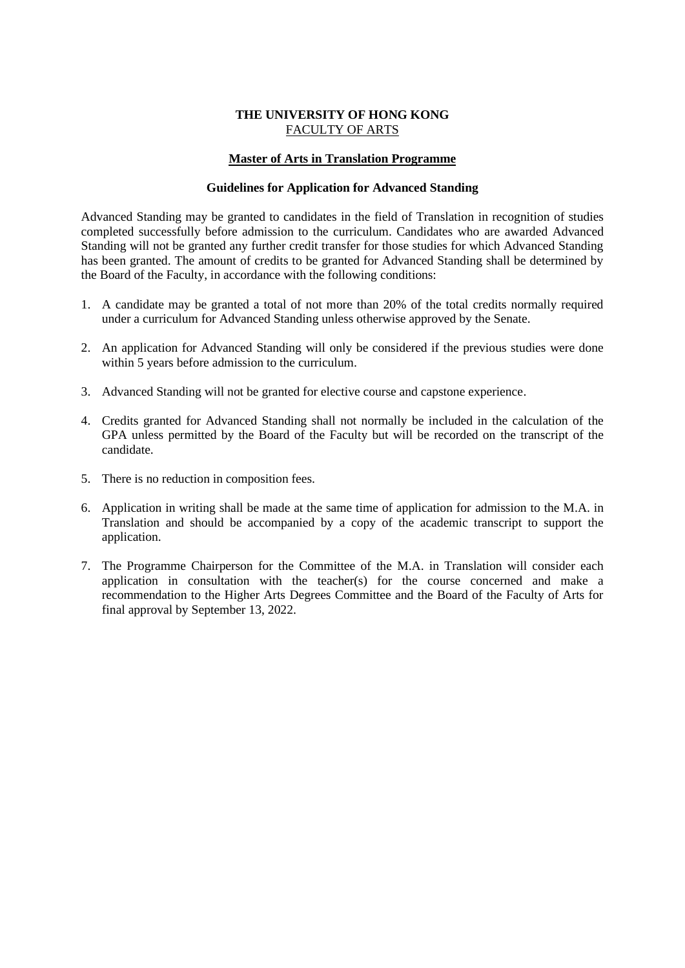### **THE UNIVERSITY OF HONG KONG** FACULTY OF ARTS

### **Master of Arts in Translation Programme**

### **Guidelines for Application for Advanced Standing**

Advanced Standing may be granted to candidates in the field of Translation in recognition of studies completed successfully before admission to the curriculum. Candidates who are awarded Advanced Standing will not be granted any further credit transfer for those studies for which Advanced Standing has been granted. The amount of credits to be granted for Advanced Standing shall be determined by the Board of the Faculty, in accordance with the following conditions:

- 1. A candidate may be granted a total of not more than 20% of the total credits normally required under a curriculum for Advanced Standing unless otherwise approved by the Senate.
- 2. An application for Advanced Standing will only be considered if the previous studies were done within 5 years before admission to the curriculum.
- 3. Advanced Standing will not be granted for elective course and capstone experience.
- 4. Credits granted for Advanced Standing shall not normally be included in the calculation of the GPA unless permitted by the Board of the Faculty but will be recorded on the transcript of the candidate.
- 5. There is no reduction in composition fees.
- 6. Application in writing shall be made at the same time of application for admission to the M.A. in Translation and should be accompanied by a copy of the academic transcript to support the application.
- 7. The Programme Chairperson for the Committee of the M.A. in Translation will consider each application in consultation with the teacher(s) for the course concerned and make a recommendation to the Higher Arts Degrees Committee and the Board of the Faculty of Arts for final approval by September 13, 2022.